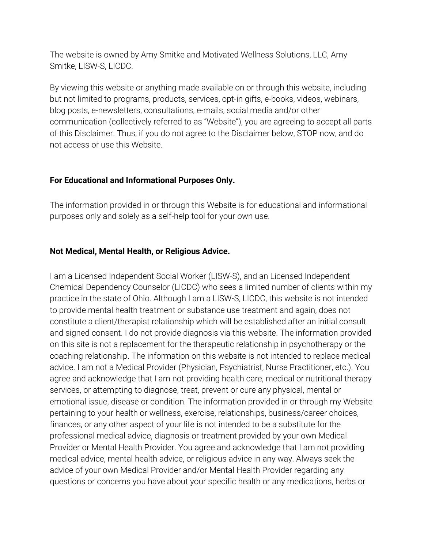The website is owned by Amy Smitke and Motivated Wellness Solutions, LLC, Amy Smitke, LISW-S, LICDC.

By viewing this website or anything made available on or through this website, including but not limited to programs, products, services, opt-in gifts, e-books, videos, webinars, blog posts, e-newsletters, consultations, e-mails, social media and/or other communication (collectively referred to as "Website"), you are agreeing to accept all parts of this Disclaimer. Thus, if you do not agree to the Disclaimer below, STOP now, and do not access or use this Website.

# **For Educational and Informational Purposes Only.**

The information provided in or through this Website is for educational and informational purposes only and solely as a self-help tool for your own use.

# **Not Medical, Mental Health, or Religious Advice.**

I am a Licensed Independent Social Worker (LISW-S), and an Licensed Independent Chemical Dependency Counselor (LICDC) who sees a limited number of clients within my practice in the state of Ohio. Although I am a LISW-S, LICDC, this website is not intended to provide mental health treatment or substance use treatment and again, does not constitute a client/therapist relationship which will be established after an initial consult and signed consent. I do not provide diagnosis via this website. The information provided on this site is not a replacement for the therapeutic relationship in psychotherapy or the coaching relationship. The information on this website is not intended to replace medical advice. I am not a Medical Provider (Physician, Psychiatrist, Nurse Practitioner, etc.). You agree and acknowledge that I am not providing health care, medical or nutritional therapy services, or attempting to diagnose, treat, prevent or cure any physical, mental or emotional issue, disease or condition. The information provided in or through my Website pertaining to your health or wellness, exercise, relationships, business/career choices, finances, or any other aspect of your life is not intended to be a substitute for the professional medical advice, diagnosis or treatment provided by your own Medical Provider or Mental Health Provider. You agree and acknowledge that I am not providing medical advice, mental health advice, or religious advice in any way. Always seek the advice of your own Medical Provider and/or Mental Health Provider regarding any questions or concerns you have about your specific health or any medications, herbs or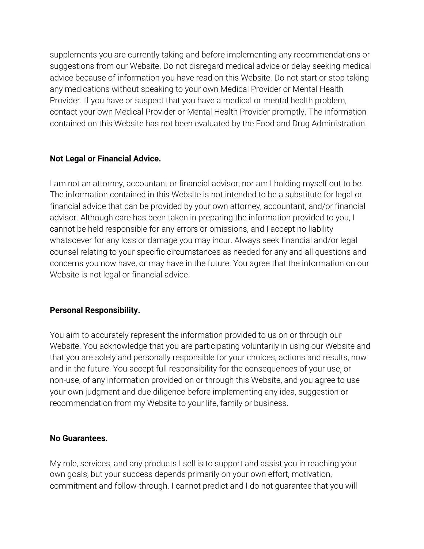supplements you are currently taking and before implementing any recommendations or suggestions from our Website. Do not disregard medical advice or delay seeking medical advice because of information you have read on this Website. Do not start or stop taking any medications without speaking to your own Medical Provider or Mental Health Provider. If you have or suspect that you have a medical or mental health problem, contact your own Medical Provider or Mental Health Provider promptly. The information contained on this Website has not been evaluated by the Food and Drug Administration.

# **Not Legal or Financial Advice.**

I am not an attorney, accountant or financial advisor, nor am I holding myself out to be. The information contained in this Website is not intended to be a substitute for legal or financial advice that can be provided by your own attorney, accountant, and/or financial advisor. Although care has been taken in preparing the information provided to you, I cannot be held responsible for any errors or omissions, and I accept no liability whatsoever for any loss or damage you may incur. Always seek financial and/or legal counsel relating to your specific circumstances as needed for any and all questions and concerns you now have, or may have in the future. You agree that the information on our Website is not legal or financial advice.

## **Personal Responsibility.**

You aim to accurately represent the information provided to us on or through our Website. You acknowledge that you are participating voluntarily in using our Website and that you are solely and personally responsible for your choices, actions and results, now and in the future. You accept full responsibility for the consequences of your use, or non-use, of any information provided on or through this Website, and you agree to use your own judgment and due diligence before implementing any idea, suggestion or recommendation from my Website to your life, family or business.

## **No Guarantees.**

My role, services, and any products I sell is to support and assist you in reaching your own goals, but your success depends primarily on your own effort, motivation, commitment and follow-through. I cannot predict and I do not guarantee that you will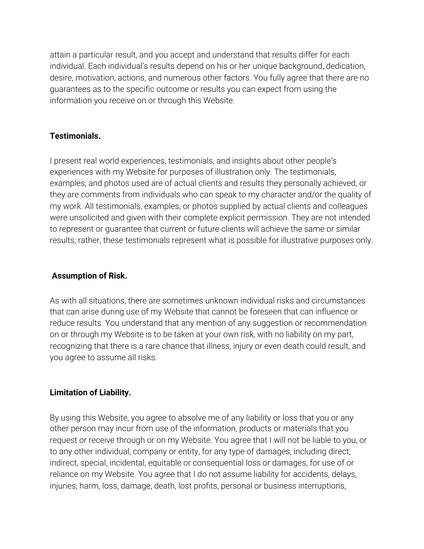attain a particular result, and you accept and understand that results differ for each individual. Each individual's results depend on his or her unique background, dedication, desire, motivation, actions, and numerous other factors. You fully agree that there are no guarantees as to the specific outcome or results you can expect from using the information you receive on or through this Website.

## **Testimonials.**

I present real world experiences, testimonials, and insights about other people's experiences with my Website for purposes of illustration only. The testimonials, examples, and photos used are of actual clients and results they personally achieved, or they are comments from individuals who can speak to my character and/or the quality of my work. All testimonials, examples, or photos supplied by actual clients and colleagues were unsolicited and given with their complete explicit permission. They are not intended to represent or guarantee that current or future clients will achieve the same or similar results; rather, these testimonials represent what is possible for illustrative purposes only.

## **Assumption of Risk.**

As with all situations, there are sometimes unknown individual risks and circumstances that can arise during use of my Website that cannot be foreseen that can influence or reduce results. You understand that any mention of any suggestion or recommendation on or through my Website is to be taken at your own risk, with no liability on my part, recognizing that there is a rare chance that illness, injury or even death could result, and you agree to assume all risks.

# **Limitation of Liability.**

By using this Website, you agree to absolve me of any liability or loss that you or any other person may incur from use of the information, products or materials that you request or receive through or on my Website. You agree that I will not be liable to you, or to any other individual, company or entity, for any type of damages, including direct, indirect, special, incidental, equitable or consequential loss or damages, for use of or reliance on my Website. You agree that I do not assume liability for accidents, delays, injuries, harm, loss, damage, death, lost profits, personal or business interruptions,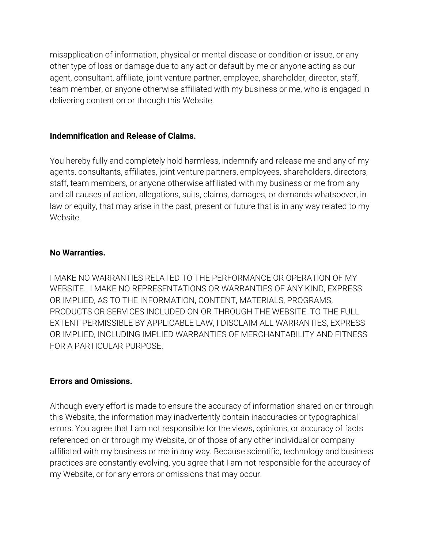misapplication of information, physical or mental disease or condition or issue, or any other type of loss or damage due to any act or default by me or anyone acting as our agent, consultant, affiliate, joint venture partner, employee, shareholder, director, staff, team member, or anyone otherwise affiliated with my business or me, who is engaged in delivering content on or through this Website.

## **Indemnification and Release of Claims.**

You hereby fully and completely hold harmless, indemnify and release me and any of my agents, consultants, affiliates, joint venture partners, employees, shareholders, directors, staff, team members, or anyone otherwise affiliated with my business or me from any and all causes of action, allegations, suits, claims, damages, or demands whatsoever, in law or equity, that may arise in the past, present or future that is in any way related to my Website.

### **No Warranties.**

I MAKE NO WARRANTIES RELATED TO THE PERFORMANCE OR OPERATION OF MY WEBSITE. I MAKE NO REPRESENTATIONS OR WARRANTIES OF ANY KIND, EXPRESS OR IMPLIED, AS TO THE INFORMATION, CONTENT, MATERIALS, PROGRAMS, PRODUCTS OR SERVICES INCLUDED ON OR THROUGH THE WEBSITE. TO THE FULL EXTENT PERMISSIBLE BY APPLICABLE LAW, I DISCLAIM ALL WARRANTIES, EXPRESS OR IMPLIED, INCLUDING IMPLIED WARRANTIES OF MERCHANTABILITY AND FITNESS FOR A PARTICULAR PURPOSE.

#### **Errors and Omissions.**

Although every effort is made to ensure the accuracy of information shared on or through this Website, the information may inadvertently contain inaccuracies or typographical errors. You agree that I am not responsible for the views, opinions, or accuracy of facts referenced on or through my Website, or of those of any other individual or company affiliated with my business or me in any way. Because scientific, technology and business practices are constantly evolving, you agree that I am not responsible for the accuracy of my Website, or for any errors or omissions that may occur.